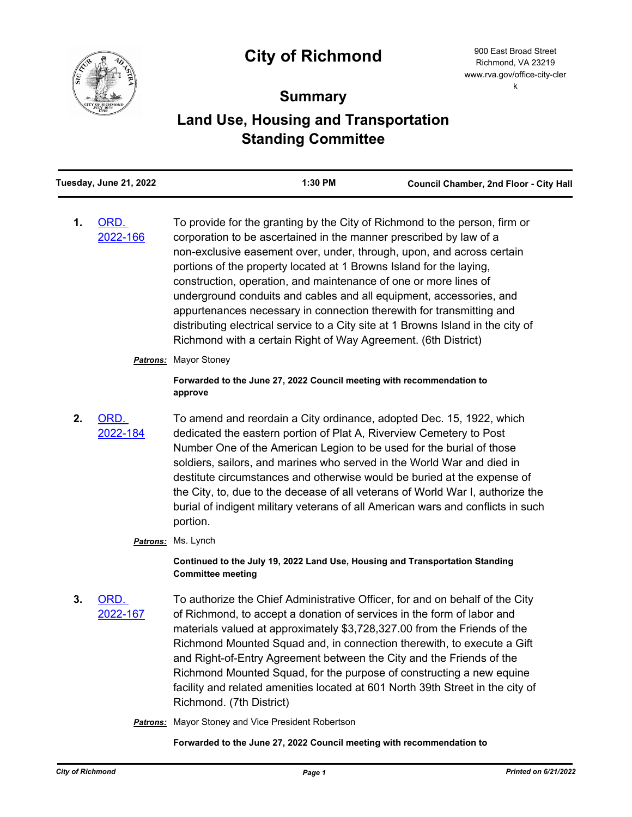## **City of Richmond**



## **Summary**

## **Land Use, Housing and Transportation Standing Committee**

| Tuesday, June 21, 2022 |                  | 1:30 PM                                                                                                                                                                                                                                                                                                                                                                                                                                                                                                                                                                                                                                                                   | Council Chamber, 2nd Floor - City Hall |
|------------------------|------------------|---------------------------------------------------------------------------------------------------------------------------------------------------------------------------------------------------------------------------------------------------------------------------------------------------------------------------------------------------------------------------------------------------------------------------------------------------------------------------------------------------------------------------------------------------------------------------------------------------------------------------------------------------------------------------|----------------------------------------|
| 1.                     | ORD.<br>2022-166 | To provide for the granting by the City of Richmond to the person, firm or<br>corporation to be ascertained in the manner prescribed by law of a<br>non-exclusive easement over, under, through, upon, and across certain<br>portions of the property located at 1 Browns Island for the laying,<br>construction, operation, and maintenance of one or more lines of<br>underground conduits and cables and all equipment, accessories, and<br>appurtenances necessary in connection therewith for transmitting and<br>distributing electrical service to a City site at 1 Browns Island in the city of<br>Richmond with a certain Right of Way Agreement. (6th District) |                                        |
|                        |                  | <b>Patrons:</b> Mayor Stoney                                                                                                                                                                                                                                                                                                                                                                                                                                                                                                                                                                                                                                              |                                        |
|                        |                  | Forwarded to the June 27, 2022 Council meeting with recommendation to<br>approve                                                                                                                                                                                                                                                                                                                                                                                                                                                                                                                                                                                          |                                        |
| 2.                     | ORD.<br>2022-184 | To amend and reordain a City ordinance, adopted Dec. 15, 1922, which<br>dedicated the eastern portion of Plat A, Riverview Cemetery to Post<br>Number One of the American Legion to be used for the burial of those<br>soldiers, sailors, and marines who served in the World War and died in<br>destitute circumstances and otherwise would be buried at the expense of<br>the City, to, due to the decease of all veterans of World War I, authorize the<br>burial of indigent military veterans of all American wars and conflicts in such<br>portion.                                                                                                                 |                                        |
|                        |                  | Patrons: Ms. Lynch                                                                                                                                                                                                                                                                                                                                                                                                                                                                                                                                                                                                                                                        |                                        |
|                        |                  | Continued to the July 19, 2022 Land Use, Housing and Transportation Standing<br><b>Committee meeting</b>                                                                                                                                                                                                                                                                                                                                                                                                                                                                                                                                                                  |                                        |
| 3.                     | ORD.<br>2022-167 | To authorize the Chief Administrative Officer, for and on behalf of the City<br>of Richmond, to accept a donation of services in the form of labor and<br>materials valued at approximately \$3,728,327.00 from the Friends of the<br>Richmond Mounted Squad and, in connection therewith, to execute a Gift<br>and Right-of-Entry Agreement between the City and the Friends of the<br>Richmond Mounted Squad, for the purpose of constructing a new equine<br>facility and related amenities located at 601 North 39th Street in the city of<br>Richmond. (7th District)                                                                                                |                                        |

*Patrons:* Mayor Stoney and Vice President Robertson

**Forwarded to the June 27, 2022 Council meeting with recommendation to**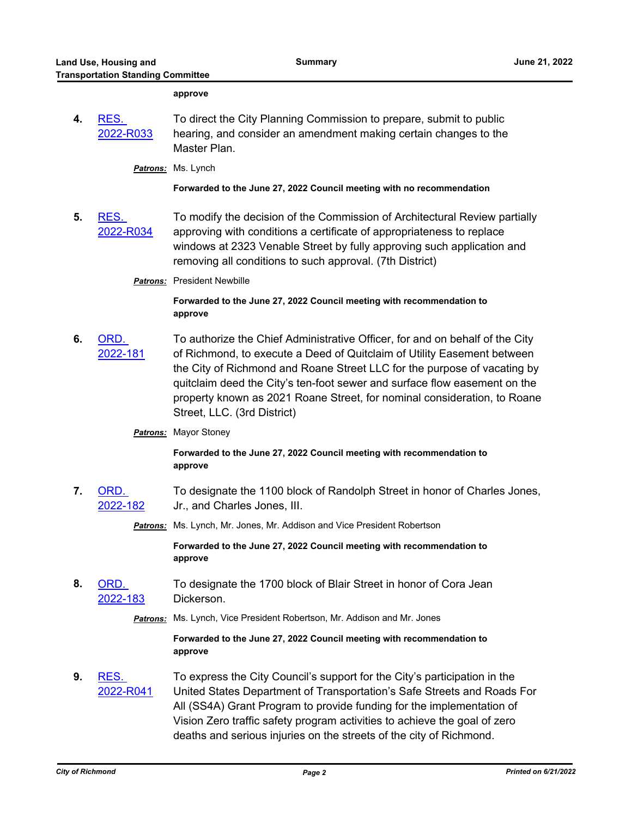**4.** RES.

**5.** RES.

**6.** ORD.

**7.** 

**8.** ORD.

**9.** RES.

|                   | approve                                                                                                                                                                                                                                                                                                                                                                                                                     |
|-------------------|-----------------------------------------------------------------------------------------------------------------------------------------------------------------------------------------------------------------------------------------------------------------------------------------------------------------------------------------------------------------------------------------------------------------------------|
| RES.<br>2022-R033 | To direct the City Planning Commission to prepare, submit to public<br>hearing, and consider an amendment making certain changes to the<br>Master Plan.                                                                                                                                                                                                                                                                     |
|                   | Patrons: Ms. Lynch                                                                                                                                                                                                                                                                                                                                                                                                          |
|                   | Forwarded to the June 27, 2022 Council meeting with no recommendation                                                                                                                                                                                                                                                                                                                                                       |
| RES.<br>2022-R034 | To modify the decision of the Commission of Architectural Review partially<br>approving with conditions a certificate of appropriateness to replace<br>windows at 2323 Venable Street by fully approving such application and<br>removing all conditions to such approval. (7th District)                                                                                                                                   |
|                   | Patrons: President Newbille                                                                                                                                                                                                                                                                                                                                                                                                 |
|                   | Forwarded to the June 27, 2022 Council meeting with recommendation to<br>approve                                                                                                                                                                                                                                                                                                                                            |
| ORD.<br>2022-181  | To authorize the Chief Administrative Officer, for and on behalf of the City<br>of Richmond, to execute a Deed of Quitclaim of Utility Easement between<br>the City of Richmond and Roane Street LLC for the purpose of vacating by<br>quitclaim deed the City's ten-foot sewer and surface flow easement on the<br>property known as 2021 Roane Street, for nominal consideration, to Roane<br>Street, LLC. (3rd District) |
|                   | <b>Patrons:</b> Mayor Stoney                                                                                                                                                                                                                                                                                                                                                                                                |
|                   | Forwarded to the June 27, 2022 Council meeting with recommendation to<br>approve                                                                                                                                                                                                                                                                                                                                            |
| ORD.<br>2022-182  | To designate the 1100 block of Randolph Street in honor of Charles Jones,<br>Jr., and Charles Jones, III.                                                                                                                                                                                                                                                                                                                   |
|                   | Patrons: Ms. Lynch, Mr. Jones, Mr. Addison and Vice President Robertson                                                                                                                                                                                                                                                                                                                                                     |
|                   | Forwarded to the June 27, 2022 Council meeting with recommendation to<br>approve                                                                                                                                                                                                                                                                                                                                            |
| ORD.<br>2022-183  | To designate the 1700 block of Blair Street in honor of Cora Jean<br>Dickerson.                                                                                                                                                                                                                                                                                                                                             |
|                   | Patrons: Ms. Lynch, Vice President Robertson, Mr. Addison and Mr. Jones                                                                                                                                                                                                                                                                                                                                                     |
|                   | Forwarded to the June 27, 2022 Council meeting with recommendation to<br>approve                                                                                                                                                                                                                                                                                                                                            |
| RES.<br>2022-R041 | To express the City Council's support for the City's participation in the<br>United States Department of Transportation's Safe Streets and Roads For<br>All (SS4A) Grant Program to provide funding for the implementation of<br>Vision Zero traffic safety program activities to achieve the goal of zero<br>deaths and serious injuries on the streets of the city of Richmond.                                           |